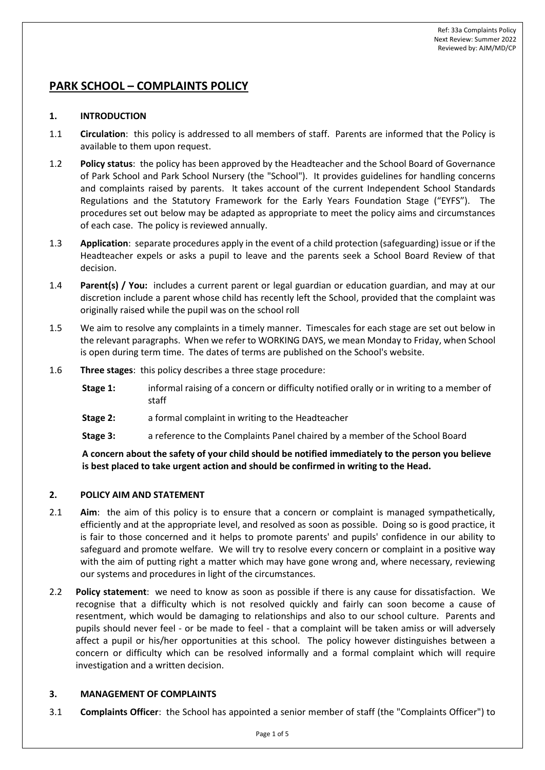# **PARK SCHOOL – COMPLAINTS POLICY**

# **1. INTRODUCTION**

- 1.1 **Circulation**: this policy is addressed to all members of staff. Parents are informed that the Policy is available to them upon request.
- 1.2 **Policy status**: the policy has been approved by the Headteacher and the School Board of Governance of Park School and Park School Nursery (the "School"). It provides guidelines for handling concerns and complaints raised by parents. It takes account of the current Independent School Standards Regulations and the Statutory Framework for the Early Years Foundation Stage ("EYFS"). The procedures set out below may be adapted as appropriate to meet the policy aims and circumstances of each case. The policy is reviewed annually.
- 1.3 **Application**: separate procedures apply in the event of a child protection (safeguarding) issue or if the Headteacher expels or asks a pupil to leave and the parents seek a School Board Review of that decision.
- 1.4 **Parent(s) / You:** includes a current parent or legal guardian or education guardian, and may at our discretion include a parent whose child has recently left the School, provided that the complaint was originally raised while the pupil was on the school roll
- 1.5 We aim to resolve any complaints in a timely manner. Timescales for each stage are set out below in the relevant paragraphs. When we refer to WORKING DAYS, we mean Monday to Friday, when School is open during term time. The dates of terms are published on the School's website.
- 1.6 **Three stages**: this policy describes a three stage procedure:
	- **Stage 1:** informal raising of a concern or difficulty notified orally or in writing to a member of staff
	- **Stage 2:** a formal complaint in writing to the Headteacher
	- **Stage 3:** a reference to the Complaints Panel chaired by a member of the School Board

**A concern about the safety of your child should be notified immediately to the person you believe is best placed to take urgent action and should be confirmed in writing to the Head.**

# **2. POLICY AIM AND STATEMENT**

- 2.1 **Aim**: the aim of this policy is to ensure that a concern or complaint is managed sympathetically, efficiently and at the appropriate level, and resolved as soon as possible. Doing so is good practice, it is fair to those concerned and it helps to promote parents' and pupils' confidence in our ability to safeguard and promote welfare. We will try to resolve every concern or complaint in a positive way with the aim of putting right a matter which may have gone wrong and, where necessary, reviewing our systems and procedures in light of the circumstances.
- 2.2 **Policy statement**: we need to know as soon as possible if there is any cause for dissatisfaction. We recognise that a difficulty which is not resolved quickly and fairly can soon become a cause of resentment, which would be damaging to relationships and also to our school culture. Parents and pupils should never feel - or be made to feel - that a complaint will be taken amiss or will adversely affect a pupil or his/her opportunities at this school. The policy however distinguishes between a concern or difficulty which can be resolved informally and a formal complaint which will require investigation and a written decision.

# **3. MANAGEMENT OF COMPLAINTS**

3.1 **Complaints Officer**: the School has appointed a senior member of staff (the "Complaints Officer") to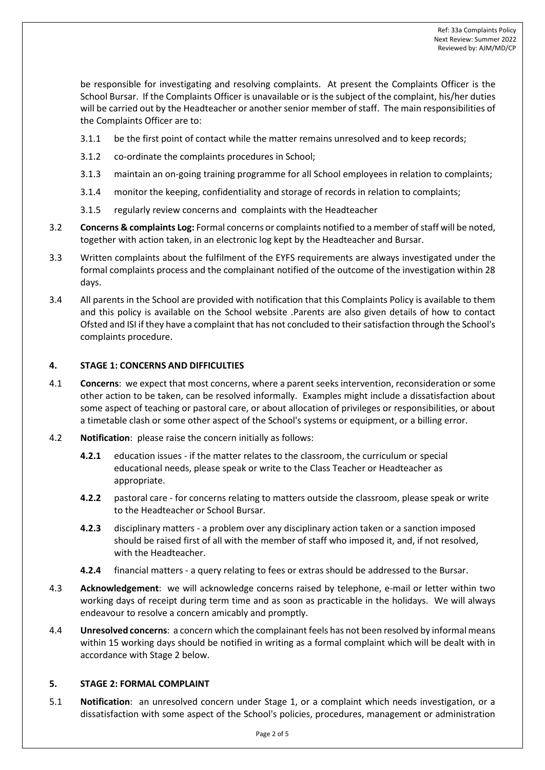be responsible for investigating and resolving complaints. At present the Complaints Officer is the School Bursar. If the Complaints Officer is unavailable or is the subject of the complaint, his/her duties will be carried out by the Headteacher or another senior member of staff. The main responsibilities of the Complaints Officer are to:

- 3.1.1 be the first point of contact while the matter remains unresolved and to keep records;
- 3.1.2 co-ordinate the complaints procedures in School;
- 3.1.3 maintain an on-going training programme for all School employees in relation to complaints;
- 3.1.4 monitor the keeping, confidentiality and storage of records in relation to complaints;
- 3.1.5 regularly review concerns and complaints with the Headteacher
- 3.2 **Concerns & complaints Log:** Formal concerns or complaints notified to a member of staff will be noted, together with action taken, in an electronic log kept by the Headteacher and Bursar.
- 3.3 Written complaints about the fulfilment of the EYFS requirements are always investigated under the formal complaints process and the complainant notified of the outcome of the investigation within 28 days.
- 3.4 All parents in the School are provided with notification that this Complaints Policy is available to them and this policy is available on the School website .Parents are also given details of how to contact Ofsted and ISI if they have a complaint that has not concluded to their satisfaction through the School's complaints procedure.

# **4. STAGE 1: CONCERNS AND DIFFICULTIES**

- 4.1 **Concerns**: we expect that most concerns, where a parent seeks intervention, reconsideration or some other action to be taken, can be resolved informally. Examples might include a dissatisfaction about some aspect of teaching or pastoral care, or about allocation of privileges or responsibilities, or about a timetable clash or some other aspect of the School's systems or equipment, or a billing error.
- 4.2 **Notification**: please raise the concern initially as follows:
	- **4.2.1** education issues if the matter relates to the classroom, the curriculum or special educational needs, please speak or write to the Class Teacher or Headteacher as appropriate.
	- **4.2.2** pastoral care for concerns relating to matters outside the classroom, please speak or write to the Headteacher or School Bursar.
	- **4.2.3** disciplinary matters a problem over any disciplinary action taken or a sanction imposed should be raised first of all with the member of staff who imposed it, and, if not resolved, with the Headteacher.
	- **4.2.4** financial matters a query relating to fees or extras should be addressed to the Bursar.
- 4.3 **Acknowledgement**: we will acknowledge concerns raised by telephone, e-mail or letter within two working days of receipt during term time and as soon as practicable in the holidays. We will always endeavour to resolve a concern amicably and promptly.
- 4.4 **Unresolved concerns**: a concern which the complainant feels has not been resolved by informal means within 15 working days should be notified in writing as a formal complaint which will be dealt with in accordance with Stage 2 below.

# **5. STAGE 2: FORMAL COMPLAINT**

5.1 **Notification**: an unresolved concern under Stage 1, or a complaint which needs investigation, or a dissatisfaction with some aspect of the School's policies, procedures, management or administration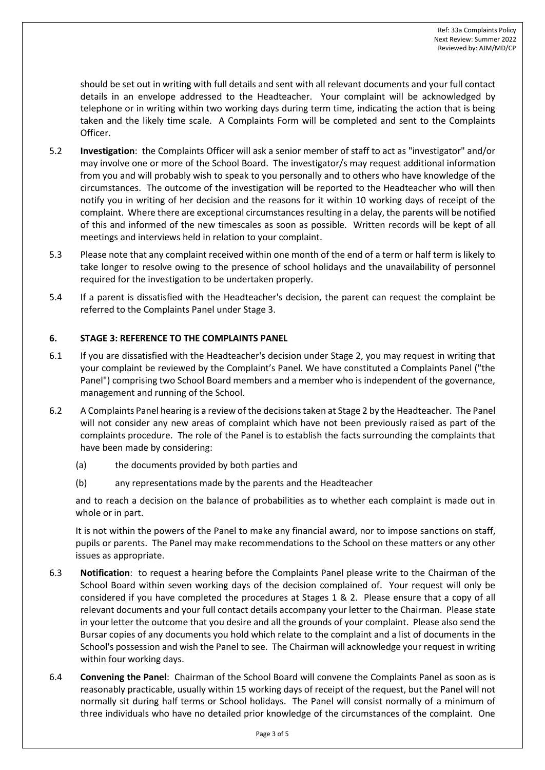should be set out in writing with full details and sent with all relevant documents and your full contact details in an envelope addressed to the Headteacher. Your complaint will be acknowledged by telephone or in writing within two working days during term time, indicating the action that is being taken and the likely time scale. A Complaints Form will be completed and sent to the Complaints Officer.

- 5.2 **Investigation**: the Complaints Officer will ask a senior member of staff to act as "investigator" and/or may involve one or more of the School Board. The investigator/s may request additional information from you and will probably wish to speak to you personally and to others who have knowledge of the circumstances. The outcome of the investigation will be reported to the Headteacher who will then notify you in writing of her decision and the reasons for it within 10 working days of receipt of the complaint. Where there are exceptional circumstances resulting in a delay, the parents will be notified of this and informed of the new timescales as soon as possible. Written records will be kept of all meetings and interviews held in relation to your complaint.
- 5.3 Please note that any complaint received within one month of the end of a term or half term is likely to take longer to resolve owing to the presence of school holidays and the unavailability of personnel required for the investigation to be undertaken properly.
- 5.4 If a parent is dissatisfied with the Headteacher's decision, the parent can request the complaint be referred to the Complaints Panel under Stage 3.

# **6. STAGE 3: REFERENCE TO THE COMPLAINTS PANEL**

- 6.1 If you are dissatisfied with the Headteacher's decision under Stage 2, you may request in writing that your complaint be reviewed by the Complaint's Panel. We have constituted a Complaints Panel ("the Panel") comprising two School Board members and a member who is independent of the governance, management and running of the School.
- 6.2 A Complaints Panel hearing is a review of the decisions taken at Stage 2 by the Headteacher. The Panel will not consider any new areas of complaint which have not been previously raised as part of the complaints procedure. The role of the Panel is to establish the facts surrounding the complaints that have been made by considering:
	- (a) the documents provided by both parties and
	- (b) any representations made by the parents and the Headteacher

and to reach a decision on the balance of probabilities as to whether each complaint is made out in whole or in part.

It is not within the powers of the Panel to make any financial award, nor to impose sanctions on staff, pupils or parents. The Panel may make recommendations to the School on these matters or any other issues as appropriate.

- 6.3 **Notification**: to request a hearing before the Complaints Panel please write to the Chairman of the School Board within seven working days of the decision complained of. Your request will only be considered if you have completed the procedures at Stages 1 & 2. Please ensure that a copy of all relevant documents and your full contact details accompany your letter to the Chairman. Please state in your letter the outcome that you desire and all the grounds of your complaint. Please also send the Bursar copies of any documents you hold which relate to the complaint and a list of documents in the School's possession and wish the Panel to see. The Chairman will acknowledge your request in writing within four working days.
- 6.4 **Convening the Panel**: Chairman of the School Board will convene the Complaints Panel as soon as is reasonably practicable, usually within 15 working days of receipt of the request, but the Panel will not normally sit during half terms or School holidays. The Panel will consist normally of a minimum of three individuals who have no detailed prior knowledge of the circumstances of the complaint. One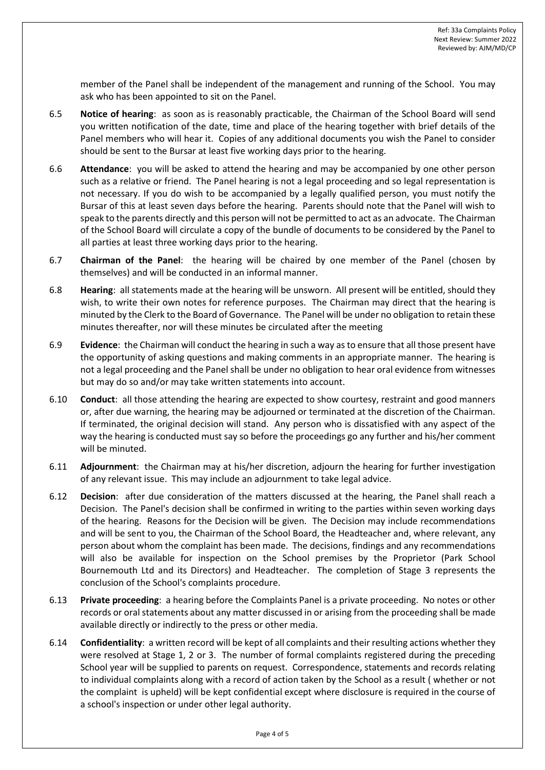member of the Panel shall be independent of the management and running of the School. You may ask who has been appointed to sit on the Panel.

- 6.5 **Notice of hearing**: as soon as is reasonably practicable, the Chairman of the School Board will send you written notification of the date, time and place of the hearing together with brief details of the Panel members who will hear it. Copies of any additional documents you wish the Panel to consider should be sent to the Bursar at least five working days prior to the hearing.
- 6.6 **Attendance**: you will be asked to attend the hearing and may be accompanied by one other person such as a relative or friend. The Panel hearing is not a legal proceeding and so legal representation is not necessary. If you do wish to be accompanied by a legally qualified person, you must notify the Bursar of this at least seven days before the hearing. Parents should note that the Panel will wish to speak to the parents directly and this person will not be permitted to act as an advocate. The Chairman of the School Board will circulate a copy of the bundle of documents to be considered by the Panel to all parties at least three working days prior to the hearing.
- 6.7 **Chairman of the Panel**: the hearing will be chaired by one member of the Panel (chosen by themselves) and will be conducted in an informal manner.
- 6.8 **Hearing**: all statements made at the hearing will be unsworn. All present will be entitled, should they wish, to write their own notes for reference purposes. The Chairman may direct that the hearing is minuted by the Clerk to the Board of Governance. The Panel will be under no obligation to retain these minutes thereafter, nor will these minutes be circulated after the meeting
- 6.9 **Evidence**: the Chairman will conduct the hearing in such a way as to ensure that all those present have the opportunity of asking questions and making comments in an appropriate manner. The hearing is not a legal proceeding and the Panel shall be under no obligation to hear oral evidence from witnesses but may do so and/or may take written statements into account.
- 6.10 **Conduct**: all those attending the hearing are expected to show courtesy, restraint and good manners or, after due warning, the hearing may be adjourned or terminated at the discretion of the Chairman. If terminated, the original decision will stand. Any person who is dissatisfied with any aspect of the way the hearing is conducted must say so before the proceedings go any further and his/her comment will be minuted.
- 6.11 **Adjournment**: the Chairman may at his/her discretion, adjourn the hearing for further investigation of any relevant issue. This may include an adjournment to take legal advice.
- 6.12 **Decision**: after due consideration of the matters discussed at the hearing, the Panel shall reach a Decision. The Panel's decision shall be confirmed in writing to the parties within seven working days of the hearing. Reasons for the Decision will be given. The Decision may include recommendations and will be sent to you, the Chairman of the School Board, the Headteacher and, where relevant, any person about whom the complaint has been made. The decisions, findings and any recommendations will also be available for inspection on the School premises by the Proprietor (Park School Bournemouth Ltd and its Directors) and Headteacher. The completion of Stage 3 represents the conclusion of the School's complaints procedure.
- 6.13 **Private proceeding**: a hearing before the Complaints Panel is a private proceeding. No notes or other records or oral statements about any matter discussed in or arising from the proceeding shall be made available directly or indirectly to the press or other media.
- 6.14 **Confidentiality**: a written record will be kept of all complaints and their resulting actions whether they were resolved at Stage 1, 2 or 3. The number of formal complaints registered during the preceding School year will be supplied to parents on request. Correspondence, statements and records relating to individual complaints along with a record of action taken by the School as a result ( whether or not the complaint is upheld) will be kept confidential except where disclosure is required in the course of a school's inspection or under other legal authority.